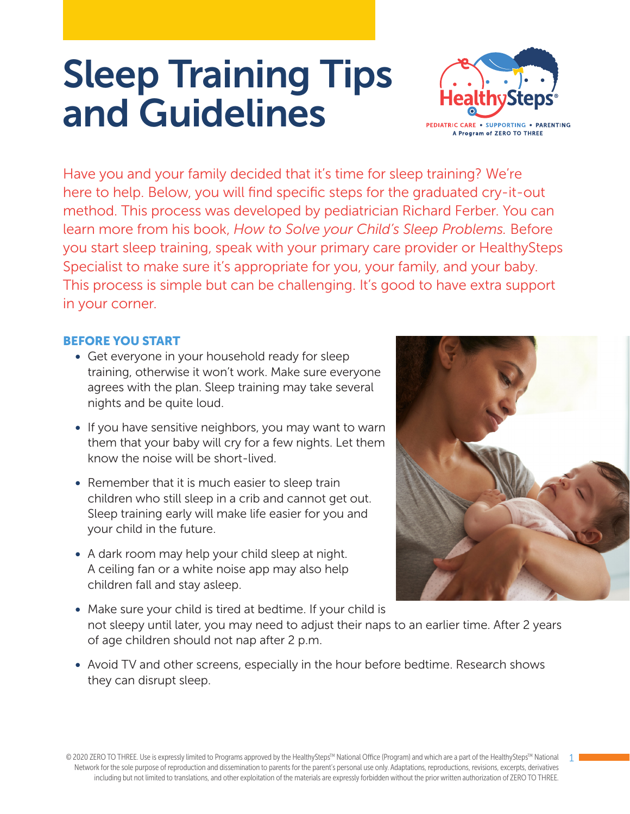# Sleep Training Tips and Guidelines



Have you and your family decided that it's time for sleep training? We're here to help. Below, you will find specific steps for the graduated cry-it-out method. This process was developed by pediatrician Richard Ferber. You can learn more from his book, *How to Solve your Child's Sleep Problems.* Before you start sleep training, speak with your primary care provider or HealthySteps Specialist to make sure it's appropriate for you, your family, and your baby. This process is simple but can be challenging. It's good to have extra support in your corner.

## BEFORE YOU START

- Get everyone in your household ready for sleep training, otherwise it won't work. Make sure everyone agrees with the plan. Sleep training may take several nights and be quite loud.
- If you have sensitive neighbors, you may want to warn them that your baby will cry for a few nights. Let them know the noise will be short-lived.
- Remember that it is much easier to sleep train children who still sleep in a crib and cannot get out. Sleep training early will make life easier for you and your child in the future.
- A dark room may help your child sleep at night. A ceiling fan or a white noise app may also help children fall and stay asleep.



1

- Make sure your child is tired at bedtime. If your child is not sleepy until later, you may need to adjust their naps to an earlier time. After 2 years of age children should not nap after 2 p.m.
- Avoid TV and other screens, especially in the hour before bedtime. Research shows they can disrupt sleep.

© 2020 ZERO TO THREE. Use is expressly limited to Programs approved by the HealthySteps™ National Office (Program) and which are a part of the HealthySteps™ National Network for the sole purpose of reproduction and dissemination to parents for the parent's personal use only. Adaptations, reproductions, revisions, excerpts, derivatives including but not limited to translations, and other exploitation of the materials are expressly forbidden without the prior written authorization of ZERO TO THREE.